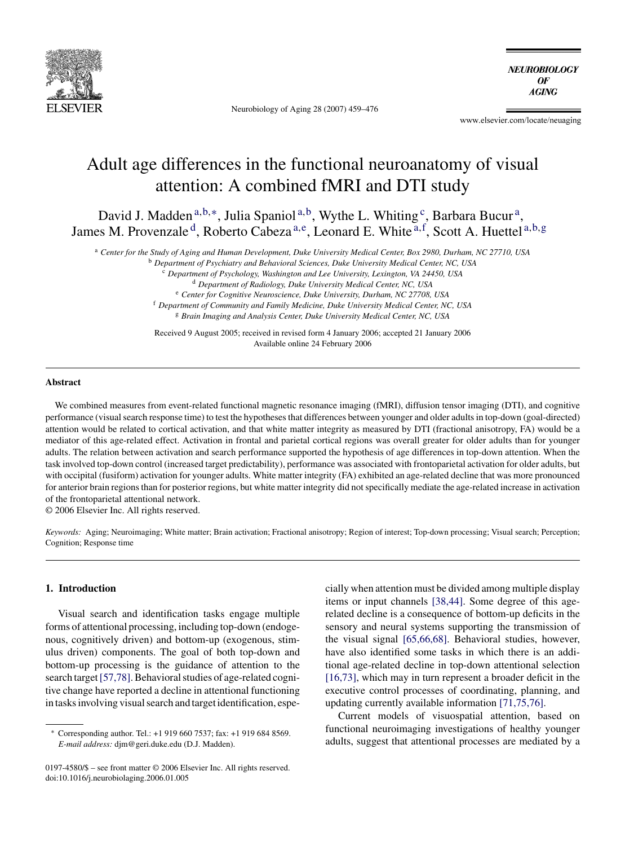

Neurobiology of Aging 28 (2007) 459–476

**NEUROBIOLOGY** OF **AGING** 

www.elsevier.com/locate/neuaging

# Adult age differences in the functional neuroanatomy of visual attention: A combined fMRI and DTI study

David J. Madden <sup>a,b,∗</sup>, Julia Spaniol <sup>a,b</sup>, Wythe L. Whiting <sup>c</sup>, Barbara Bucur<sup>a</sup>, James M. Provenzale <sup>d</sup>, Roberto Cabeza <sup>a, e</sup>, Leonard E. White <sup>a, f</sup>, Scott A. Huettel <sup>a, b, g</sup>

<sup>a</sup> *Center for the Study of Aging and Human Development, Duke University Medical Center, Box 2980, Durham, NC 27710, USA*

<sup>b</sup> *Department of Psychiatry and Behavioral Sciences, Duke University Medical Center, NC, USA*

<sup>c</sup> *Department of Psychology, Washington and Lee University, Lexington, VA 24450, USA*

<sup>d</sup> *Department of Radiology, Duke University Medical Center, NC, USA*

<sup>e</sup> *Center for Cognitive Neuroscience, Duke University, Durham, NC 27708, USA*

<sup>f</sup> *Department of Community and Family Medicine, Duke University Medical Center, NC, USA*

<sup>g</sup> *Brain Imaging and Analysis Center, Duke University Medical Center, NC, USA*

Received 9 August 2005; received in revised form 4 January 2006; accepted 21 January 2006 Available online 24 February 2006

#### **Abstract**

We combined measures from event-related functional magnetic resonance imaging (fMRI), diffusion tensor imaging (DTI), and cognitive performance (visual search response time) to test the hypotheses that differences between younger and older adults in top-down (goal-directed) attention would be related to cortical activation, and that white matter integrity as measured by DTI (fractional anisotropy, FA) would be a mediator of this age-related effect. Activation in frontal and parietal cortical regions was overall greater for older adults than for younger adults. The relation between activation and search performance supported the hypothesis of age differences in top-down attention. When the task involved top-down control (increased target predictability), performance was associated with frontoparietal activation for older adults, but with occipital (fusiform) activation for younger adults. White matter integrity (FA) exhibited an age-related decline that was more pronounced for anterior brain regions than for posterior regions, but white matter integrity did not specifically mediate the age-related increase in activation of the frontoparietal attentional network.

© 2006 Elsevier Inc. All rights reserved.

*Keywords:* Aging; Neuroimaging; White matter; Brain activation; Fractional anisotropy; Region of interest; Top-down processing; Visual search; Perception; Cognition; Response time

## **1. Introduction**

Visual search and identification tasks engage multiple forms of attentional processing, including top-down (endogenous, cognitively driven) and bottom-up (exogenous, stimulus driven) components. The goal of both top-down and bottom-up processing is the guidance of attention to the search target [\[57,78\]. B](#page-17-0)ehavioral studies of age-related cognitive change have reported a decline in attentional functioning in tasks involving visual search and target identification, especially when attention must be divided among multiple display items or input channels [\[38,44\].](#page-17-0) Some degree of this agerelated decline is a consequence of bottom-up deficits in the sensory and neural systems supporting the transmission of the visual signal [\[65,66,68\].](#page-17-0) Behavioral studies, however, have also identified some tasks in which there is an additional age-related decline in top-down attentional selection [\[16,73\], w](#page-16-0)hich may in turn represent a broader deficit in the executive control processes of coordinating, planning, and updating currently available information [\[71,75,76\].](#page-17-0)

Current models of visuospatial attention, based on functional neuroimaging investigations of healthy younger adults, suggest that attentional processes are mediated by a

<sup>∗</sup> Corresponding author. Tel.: +1 919 660 7537; fax: +1 919 684 8569. *E-mail address:* djm@geri.duke.edu (D.J. Madden).

<sup>0197-4580/\$ –</sup> see front matter © 2006 Elsevier Inc. All rights reserved. doi:10.1016/j.neurobiolaging.2006.01.005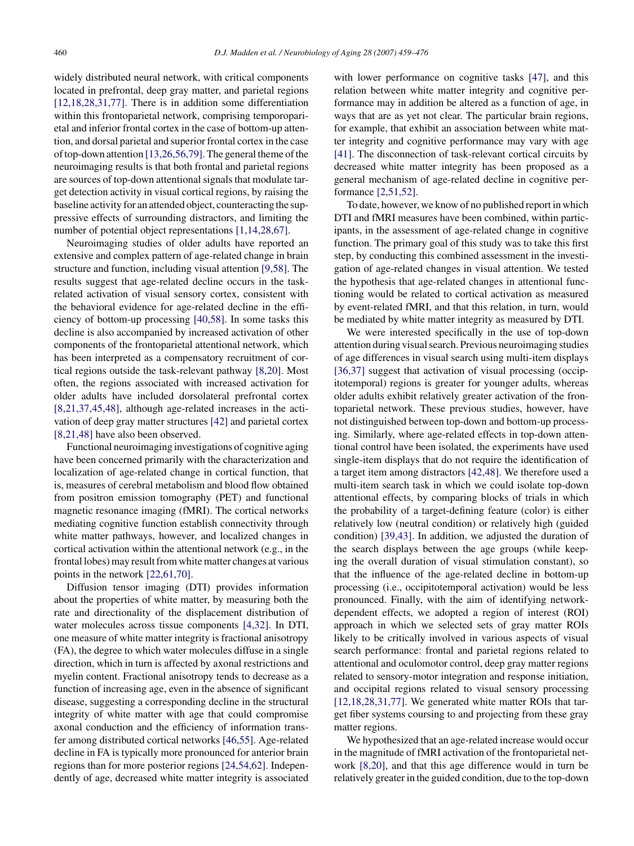widely distributed neural network, with critical components located in prefrontal, deep gray matter, and parietal regions [\[12,18,28,31,77\].](#page-16-0) There is in addition some differentiation within this frontoparietal network, comprising temporoparietal and inferior frontal cortex in the case of bottom-up attention, and dorsal parietal and superior frontal cortex in the case of top-down attention [\[13,26,56,79\]. T](#page-16-0)he general theme of the neuroimaging results is that both frontal and parietal regions are sources of top-down attentional signals that modulate target detection activity in visual cortical regions, by raising the baseline activity for an attended object, counteracting the suppressive effects of surrounding distractors, and limiting the number of potential object representations [\[1,14,28,67\].](#page-16-0)

Neuroimaging studies of older adults have reported an extensive and complex pattern of age-related change in brain structure and function, including visual attention [\[9,58\]. T](#page-16-0)he results suggest that age-related decline occurs in the taskrelated activation of visual sensory cortex, consistent with the behavioral evidence for age-related decline in the efficiency of bottom-up processing [\[40,58\].](#page-17-0) In some tasks this decline is also accompanied by increased activation of other components of the frontoparietal attentional network, which has been interpreted as a compensatory recruitment of cortical regions outside the task-relevant pathway [\[8,20\].](#page-16-0) Most often, the regions associated with increased activation for older adults have included dorsolateral prefrontal cortex [\[8,21,37,45,48\],](#page-16-0) although age-related increases in the activation of deep gray matter structures [\[42\]](#page-17-0) and parietal cortex [\[8,21,48\]](#page-16-0) have also been observed.

Functional neuroimaging investigations of cognitive aging have been concerned primarily with the characterization and localization of age-related change in cortical function, that is, measures of cerebral metabolism and blood flow obtained from positron emission tomography (PET) and functional magnetic resonance imaging (fMRI). The cortical networks mediating cognitive function establish connectivity through white matter pathways, however, and localized changes in cortical activation within the attentional network (e.g., in the frontal lobes) may result from white matter changes at various points in the network [\[22,61,70\].](#page-16-0)

Diffusion tensor imaging (DTI) provides information about the properties of white matter, by measuring both the rate and directionality of the displacement distribution of water molecules across tissue components [\[4,32\].](#page-16-0) In DTI, one measure of white matter integrity is fractional anisotropy (FA), the degree to which water molecules diffuse in a single direction, which in turn is affected by axonal restrictions and myelin content. Fractional anisotropy tends to decrease as a function of increasing age, even in the absence of significant disease, suggesting a corresponding decline in the structural integrity of white matter with age that could compromise axonal conduction and the efficiency of information transfer among distributed cortical networks [\[46,55\]. A](#page-17-0)ge-related decline in FA is typically more pronounced for anterior brain regions than for more posterior regions [\[24,54,62\]. I](#page-16-0)ndependently of age, decreased white matter integrity is associated with lower performance on cognitive tasks [\[47\],](#page-17-0) and this relation between white matter integrity and cognitive performance may in addition be altered as a function of age, in ways that are as yet not clear. The particular brain regions, for example, that exhibit an association between white matter integrity and cognitive performance may vary with age [\[41\].](#page-17-0) The disconnection of task-relevant cortical circuits by decreased white matter integrity has been proposed as a general mechanism of age-related decline in cognitive performance [\[2,51,52\].](#page-16-0)

To date, however, we know of no published report in which DTI and fMRI measures have been combined, within participants, in the assessment of age-related change in cognitive function. The primary goal of this study was to take this first step, by conducting this combined assessment in the investigation of age-related changes in visual attention. We tested the hypothesis that age-related changes in attentional functioning would be related to cortical activation as measured by event-related fMRI, and that this relation, in turn, would be mediated by white matter integrity as measured by DTI.

We were interested specifically in the use of top-down attention during visual search. Previous neuroimaging studies of age differences in visual search using multi-item displays [\[36,37\]](#page-16-0) suggest that activation of visual processing (occipitotemporal) regions is greater for younger adults, whereas older adults exhibit relatively greater activation of the frontoparietal network. These previous studies, however, have not distinguished between top-down and bottom-up processing. Similarly, where age-related effects in top-down attentional control have been isolated, the experiments have used single-item displays that do not require the identification of a target item among distractors [\[42,48\]. W](#page-17-0)e therefore used a multi-item search task in which we could isolate top-down attentional effects, by comparing blocks of trials in which the probability of a target-defining feature (color) is either relatively low (neutral condition) or relatively high (guided condition) [\[39,43\].](#page-17-0) In addition, we adjusted the duration of the search displays between the age groups (while keeping the overall duration of visual stimulation constant), so that the influence of the age-related decline in bottom-up processing (i.e., occipitotemporal activation) would be less pronounced. Finally, with the aim of identifying networkdependent effects, we adopted a region of interest (ROI) approach in which we selected sets of gray matter ROIs likely to be critically involved in various aspects of visual search performance: frontal and parietal regions related to attentional and oculomotor control, deep gray matter regions related to sensory-motor integration and response initiation, and occipital regions related to visual sensory processing [\[12,18,28,31,77\].](#page-16-0) We generated white matter ROIs that target fiber systems coursing to and projecting from these gray matter regions.

We hypothesized that an age-related increase would occur in the magnitude of fMRI activation of the frontoparietal network [\[8,20\],](#page-16-0) and that this age difference would in turn be relatively greater in the guided condition, due to the top-down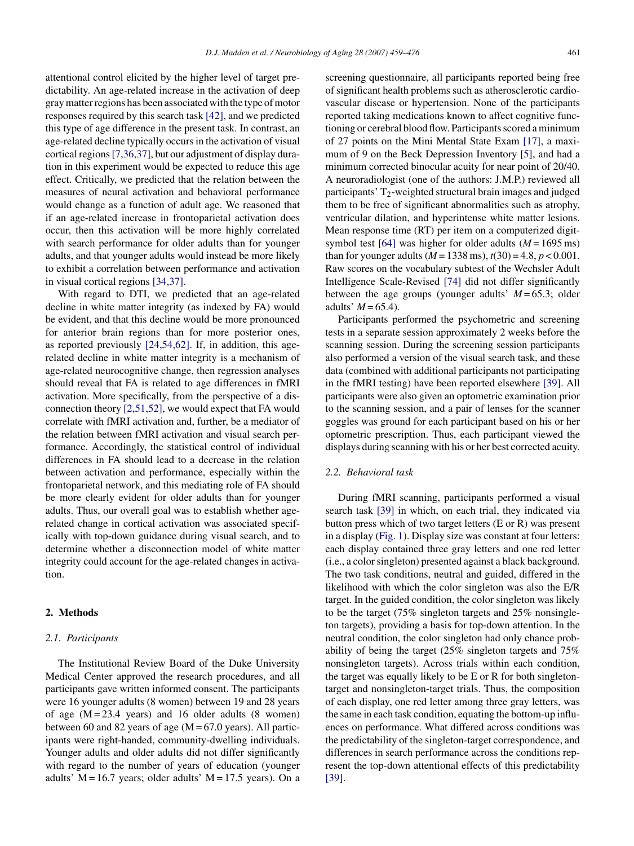attentional control elicited by the higher level of target predictability. An age-related increase in the activation of deep gray matter regions has been associated with the type of motor responses required by this search task [\[42\], a](#page-17-0)nd we predicted this type of age difference in the present task. In contrast, an age-related decline typically occurs in the activation of visual cortical regions[\[7,36,37\], b](#page-16-0)ut our adjustment of display duration in this experiment would be expected to reduce this age effect. Critically, we predicted that the relation between the measures of neural activation and behavioral performance would change as a function of adult age. We reasoned that if an age-related increase in frontoparietal activation does occur, then this activation will be more highly correlated with search performance for older adults than for younger adults, and that younger adults would instead be more likely to exhibit a correlation between performance and activation in visual cortical regions [\[34,37\].](#page-16-0)

With regard to DTI, we predicted that an age-related decline in white matter integrity (as indexed by FA) would be evident, and that this decline would be more pronounced for anterior brain regions than for more posterior ones, as reported previously [\[24,54,62\].](#page-16-0) If, in addition, this agerelated decline in white matter integrity is a mechanism of age-related neurocognitive change, then regression analyses should reveal that FA is related to age differences in fMRI activation. More specifically, from the perspective of a disconnection theory [\[2,51,52\], w](#page-16-0)e would expect that FA would correlate with fMRI activation and, further, be a mediator of the relation between fMRI activation and visual search performance. Accordingly, the statistical control of individual differences in FA should lead to a decrease in the relation between activation and performance, especially within the frontoparietal network, and this mediating role of FA should be more clearly evident for older adults than for younger adults. Thus, our overall goal was to establish whether agerelated change in cortical activation was associated specifically with top-down guidance during visual search, and to determine whether a disconnection model of white matter integrity could account for the age-related changes in activation.

#### **2. Methods**

#### *2.1. Participants*

The Institutional Review Board of the Duke University Medical Center approved the research procedures, and all participants gave written informed consent. The participants were 16 younger adults (8 women) between 19 and 28 years of age  $(M = 23.4$  years) and 16 older adults  $(8 \text{ women})$ between 60 and 82 years of age  $(M = 67.0$  years). All participants were right-handed, community-dwelling individuals. Younger adults and older adults did not differ significantly with regard to the number of years of education (younger adults'  $M = 16.7$  years; older adults'  $M = 17.5$  years). On a screening questionnaire, all participants reported being free of significant health problems such as atherosclerotic cardiovascular disease or hypertension. None of the participants reported taking medications known to affect cognitive functioning or cerebral blood flow. Participants scored a minimum of 27 points on the Mini Mental State Exam [\[17\],](#page-16-0) a maximum of 9 on the Beck Depression Inventory [\[5\],](#page-16-0) and had a minimum corrected binocular acuity for near point of 20/40. A neuroradiologist (one of the authors: J.M.P.) reviewed all participants'  $T_2$ -weighted structural brain images and judged them to be free of significant abnormalities such as atrophy, ventricular dilation, and hyperintense white matter lesions. Mean response time (RT) per item on a computerized digit-symbol test [\[64\]](#page-17-0) was higher for older adults  $(M = 1695 \text{ ms})$ than for younger adults ( $M = 1338$  ms),  $t(30) = 4.8$ ,  $p < 0.001$ . Raw scores on the vocabulary subtest of the Wechsler Adult Intelligence Scale-Revised [\[74\]](#page-17-0) did not differ significantly between the age groups (younger adults'  $M = 65.3$ ; older adults'  $M = 65.4$ ).

Participants performed the psychometric and screening tests in a separate session approximately 2 weeks before the scanning session. During the screening session participants also performed a version of the visual search task, and these data (combined with additional participants not participating in the fMRI testing) have been reported elsewhere [\[39\].](#page-17-0) All participants were also given an optometric examination prior to the scanning session, and a pair of lenses for the scanner goggles was ground for each participant based on his or her optometric prescription. Thus, each participant viewed the displays during scanning with his or her best corrected acuity.

#### *2.2. Behavioral task*

During fMRI scanning, participants performed a visual search task [\[39\]](#page-17-0) in which, on each trial, they indicated via button press which of two target letters (E or R) was present in a display ([Fig. 1\).](#page-3-0) Display size was constant at four letters: each display contained three gray letters and one red letter (i.e., a color singleton) presented against a black background. The two task conditions, neutral and guided, differed in the likelihood with which the color singleton was also the E/R target. In the guided condition, the color singleton was likely to be the target (75% singleton targets and 25% nonsingleton targets), providing a basis for top-down attention. In the neutral condition, the color singleton had only chance probability of being the target (25% singleton targets and 75% nonsingleton targets). Across trials within each condition, the target was equally likely to be E or R for both singletontarget and nonsingleton-target trials. Thus, the composition of each display, one red letter among three gray letters, was the same in each task condition, equating the bottom-up influences on performance. What differed across conditions was the predictability of the singleton-target correspondence, and differences in search performance across the conditions represent the top-down attentional effects of this predictability [\[39\].](#page-17-0)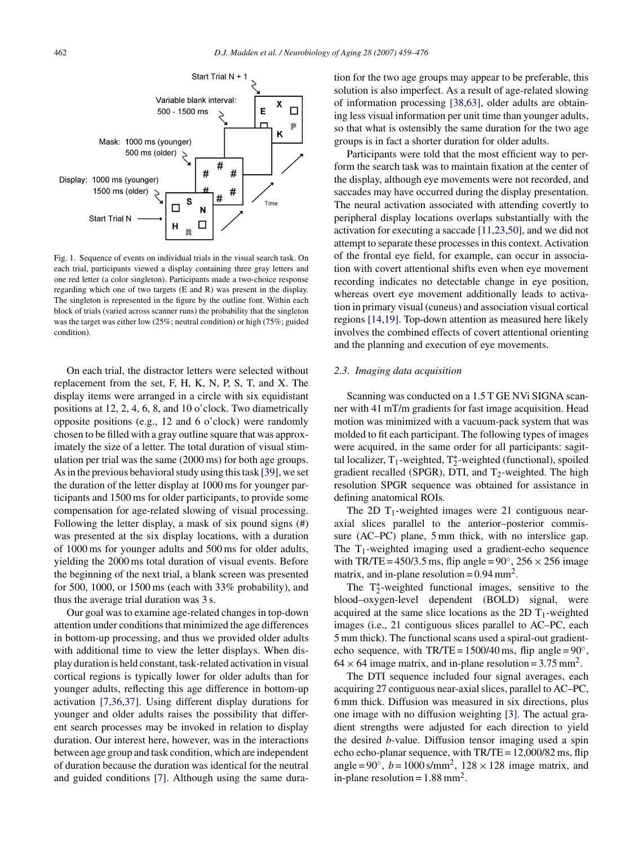<span id="page-3-0"></span>

Fig. 1. Sequence of events on individual trials in the visual search task. On each trial, participants viewed a display containing three gray letters and one red letter (a color singleton). Participants made a two-choice response regarding which one of two targets (E and R) was present in the display. The singleton is represented in the figure by the outline font. Within each block of trials (varied across scanner runs) the probability that the singleton was the target was either low (25%; neutral condition) or high (75%; guided condition).

On each trial, the distractor letters were selected without replacement from the set, F, H, K, N, P, S, T, and X. The display items were arranged in a circle with six equidistant positions at 12, 2, 4, 6, 8, and 10 o'clock. Two diametrically opposite positions (e.g., 12 and 6 o'clock) were randomly chosen to be filled with a gray outline square that was approximately the size of a letter. The total duration of visual stimulation per trial was the same (2000 ms) for both age groups. As in the previous behavioral study using this task [\[39\], w](#page-17-0)e set the duration of the letter display at 1000 ms for younger participants and 1500 ms for older participants, to provide some compensation for age-related slowing of visual processing. Following the letter display, a mask of six pound signs (#) was presented at the six display locations, with a duration of 1000 ms for younger adults and 500 ms for older adults, yielding the 2000 ms total duration of visual events. Before the beginning of the next trial, a blank screen was presented for 500, 1000, or 1500 ms (each with 33% probability), and thus the average trial duration was 3 s.

Our goal was to examine age-related changes in top-down attention under conditions that minimized the age differences in bottom-up processing, and thus we provided older adults with additional time to view the letter displays. When display duration is held constant, task-related activation in visual cortical regions is typically lower for older adults than for younger adults, reflecting this age difference in bottom-up activation [\[7,36,37\].](#page-16-0) Using different display durations for younger and older adults raises the possibility that different search processes may be invoked in relation to display duration. Our interest here, however, was in the interactions between age group and task condition, which are independent of duration because the duration was identical for the neutral and guided conditions [\[7\].](#page-16-0) Although using the same duration for the two age groups may appear to be preferable, this solution is also imperfect. As a result of age-related slowing of information processing [\[38,63\],](#page-17-0) older adults are obtaining less visual information per unit time than younger adults, so that what is ostensibly the same duration for the two age groups is in fact a shorter duration for older adults.

Participants were told that the most efficient way to perform the search task was to maintain fixation at the center of the display, although eye movements were not recorded, and saccades may have occurred during the display presentation. The neural activation associated with attending covertly to peripheral display locations overlaps substantially with the activation for executing a saccade [\[11,23,50\], a](#page-16-0)nd we did not attempt to separate these processes in this context. Activation of the frontal eye field, for example, can occur in association with covert attentional shifts even when eye movement recording indicates no detectable change in eye position, whereas overt eye movement additionally leads to activation in primary visual (cuneus) and association visual cortical regions [\[14,19\].](#page-16-0) Top-down attention as measured here likely involves the combined effects of covert attentional orienting and the planning and execution of eye movements.

#### *2.3. Imaging data acquisition*

Scanning was conducted on a 1.5 T GE NVi SIGNA scanner with 41 mT/m gradients for fast image acquisition. Head motion was minimized with a vacuum-pack system that was molded to fit each participant. The following types of images were acquired, in the same order for all participants: sagittal localizer, T<sub>1</sub>-weighted, T<sup>\*</sup><sub>2</sub>-weighted (functional), spoiled gradient recalled (SPGR), DTI, and  $T_2$ -weighted. The high resolution SPGR sequence was obtained for assistance in defining anatomical ROIs.

The 2D  $T_1$ -weighted images were 21 contiguous nearaxial slices parallel to the anterior–posterior commissure (AC–PC) plane, 5 mm thick, with no interslice gap. The  $T_1$ -weighted imaging used a gradient-echo sequence with TR/TE = 450/3.5 ms, flip angle =  $90^\circ$ , 256  $\times$  256 image matrix, and in-plane resolution =  $0.94$  mm<sup>2</sup>.

The  $T_2^*$ -weighted functional images, sensitive to the blood–oxygen-level dependent (BOLD) signal, were acquired at the same slice locations as the 2D  $T_1$ -weighted images (i.e., 21 contiguous slices parallel to AC–PC, each 5 mm thick). The functional scans used a spiral-out gradientecho sequence, with TR/TE =  $1500/40$  ms, flip angle =  $90^\circ$ ,  $64 \times 64$  image matrix, and in-plane resolution = 3.75 mm<sup>2</sup>.

The DTI sequence included four signal averages, each acquiring 27 contiguous near-axial slices, parallel to AC–PC, 6 mm thick. Diffusion was measured in six directions, plus one image with no diffusion weighting [\[3\].](#page-16-0) The actual gradient strengths were adjusted for each direction to yield the desired *b*-value. Diffusion tensor imaging used a spin echo echo-planar sequence, with  $TR/TE = 12,000/82$  ms, flip angle =  $90^\circ$ , *b* = 1000 s/mm<sup>2</sup>, 128 × 128 image matrix, and in-plane resolution =  $1.88$  mm<sup>2</sup>.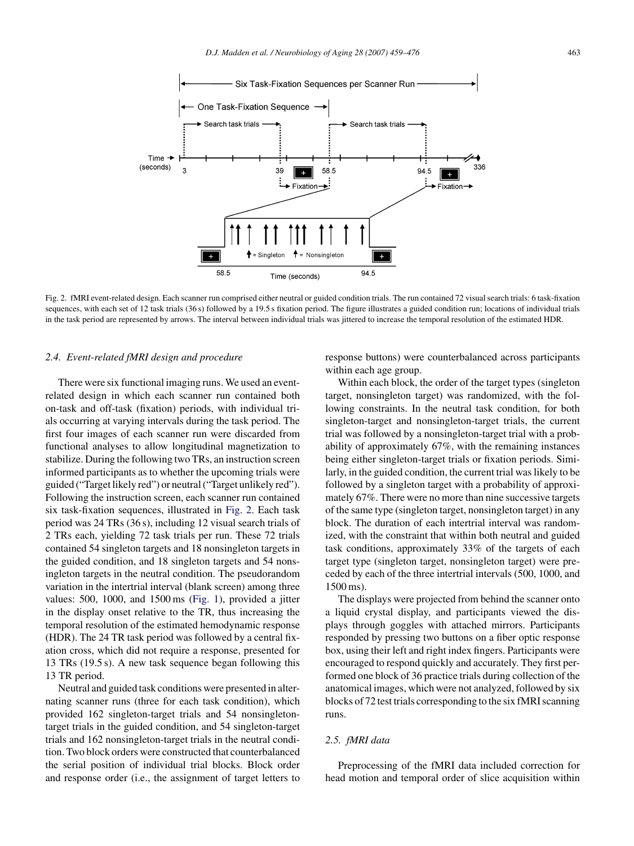

Fig. 2. fMRI event-related design. Each scanner run comprised either neutral or guided condition trials. The run contained 72 visual search trials: 6 task-fixation sequences, with each set of 12 task trials (36 s) followed by a 19.5 s fixation period. The figure illustrates a guided condition run; locations of individual trials in the task period are represented by arrows. The interval between individual trials was jittered to increase the temporal resolution of the estimated HDR.

#### *2.4. Event-related fMRI design and procedure*

There were six functional imaging runs. We used an eventrelated design in which each scanner run contained both on-task and off-task (fixation) periods, with individual trials occurring at varying intervals during the task period. The first four images of each scanner run were discarded from functional analyses to allow longitudinal magnetization to stabilize. During the following two TRs, an instruction screen informed participants as to whether the upcoming trials were guided ("Target likely red") or neutral ("Target unlikely red"). Following the instruction screen, each scanner run contained six task-fixation sequences, illustrated in Fig. 2. Each task period was 24 TRs (36 s), including 12 visual search trials of 2 TRs each, yielding 72 task trials per run. These 72 trials contained 54 singleton targets and 18 nonsingleton targets in the guided condition, and 18 singleton targets and 54 nonsingleton targets in the neutral condition. The pseudorandom variation in the intertrial interval (blank screen) among three values: 500, 1000, and 1500 ms ([Fig. 1\),](#page-3-0) provided a jitter in the display onset relative to the TR, thus increasing the temporal resolution of the estimated hemodynamic response (HDR). The 24 TR task period was followed by a central fixation cross, which did not require a response, presented for 13 TRs (19.5 s). A new task sequence began following this 13 TR period.

Neutral and guided task conditions were presented in alternating scanner runs (three for each task condition), which provided 162 singleton-target trials and 54 nonsingletontarget trials in the guided condition, and 54 singleton-target trials and 162 nonsingleton-target trials in the neutral condition. Two block orders were constructed that counterbalanced the serial position of individual trial blocks. Block order and response order (i.e., the assignment of target letters to

response buttons) were counterbalanced across participants within each age group.

Within each block, the order of the target types (singleton target, nonsingleton target) was randomized, with the following constraints. In the neutral task condition, for both singleton-target and nonsingleton-target trials, the current trial was followed by a nonsingleton-target trial with a probability of approximately 67%, with the remaining instances being either singleton-target trials or fixation periods. Similarly, in the guided condition, the current trial was likely to be followed by a singleton target with a probability of approximately 67%. There were no more than nine successive targets of the same type (singleton target, nonsingleton target) in any block. The duration of each intertrial interval was randomized, with the constraint that within both neutral and guided task conditions, approximately 33% of the targets of each target type (singleton target, nonsingleton target) were preceded by each of the three intertrial intervals (500, 1000, and 1500 ms).

The displays were projected from behind the scanner onto a liquid crystal display, and participants viewed the displays through goggles with attached mirrors. Participants responded by pressing two buttons on a fiber optic response box, using their left and right index fingers. Participants were encouraged to respond quickly and accurately. They first performed one block of 36 practice trials during collection of the anatomical images, which were not analyzed, followed by six blocks of 72 test trials corresponding to the six fMRI scanning runs.

#### *2.5. fMRI data*

Preprocessing of the fMRI data included correction for head motion and temporal order of slice acquisition within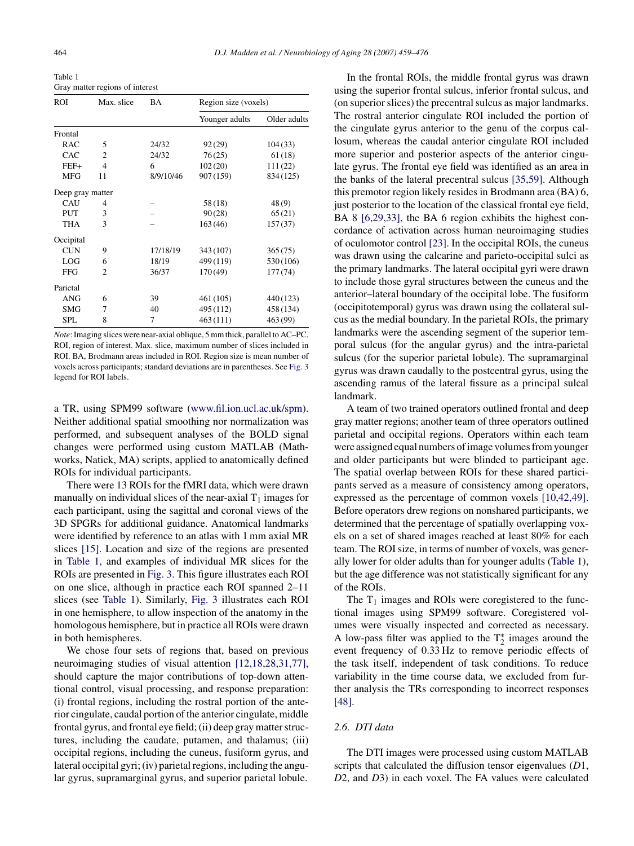<span id="page-5-0"></span>Table 1 Gray matter regions of interest

| <b>ROI</b>       | Max. slice     | BA        | Region size (voxels) |              |  |
|------------------|----------------|-----------|----------------------|--------------|--|
|                  |                |           | Younger adults       | Older adults |  |
| Frontal          |                |           |                      |              |  |
| <b>RAC</b>       | 5              | 24/32     | 92(29)               | 104(33)      |  |
| CAC              | $\mathfrak{2}$ | 24/32     | 76(25)               | 61(18)       |  |
| FEF+             | 4              | 6         | 102(20)              | 111(22)      |  |
| <b>MFG</b>       | 11             | 8/9/10/46 | 907 (159)            | 834(125)     |  |
| Deep gray matter |                |           |                      |              |  |
| CAU              | 4              |           | 58(18)               | 48(9)        |  |
| PUT              | 3              |           | 90(28)               | 65(21)       |  |
| THA              | 3              |           | 163(46)              | 157(37)      |  |
| Occipital        |                |           |                      |              |  |
| <b>CUN</b>       | 9              | 17/18/19  | 343 (107)            | 365(75)      |  |
| LOG              | 6              | 18/19     | 499(119)             | 530(106)     |  |
| <b>FFG</b>       | $\overline{c}$ | 36/37     | 170(49)              | 177(74)      |  |
| Parietal         |                |           |                      |              |  |
| ANG              | 6              | 39        | 461 (105)            | 440(123)     |  |
| <b>SMG</b>       | 7              | 40        | 495 (112)            | 458 (134)    |  |
| <b>SPL</b>       | 8              | 7         | 463(111)             | 463 (99)     |  |

*Note*: Imaging slices were near-axial oblique, 5 mm thick, parallel to AC–PC. ROI, region of interest. Max. slice, maximum number of slices included in ROI. BA, Brodmann areas included in ROI. Region size is mean number of voxels across participants; standard deviations are in parentheses. See [Fig. 3](#page-6-0) legend for ROI labels.

a TR, using SPM99 software [\(www.fil.ion.ucl.ac.uk/spm](http://www.fil.ion.ucl.ac.uk/spm)). Neither additional spatial smoothing nor normalization was performed, and subsequent analyses of the BOLD signal changes were performed using custom MATLAB (Mathworks, Natick, MA) scripts, applied to anatomically defined ROIs for individual participants.

There were 13 ROIs for the fMRI data, which were drawn manually on individual slices of the near-axial  $T_1$  images for each participant, using the sagittal and coronal views of the 3D SPGRs for additional guidance. Anatomical landmarks were identified by reference to an atlas with 1 mm axial MR slices [\[15\].](#page-16-0) Location and size of the regions are presented in Table 1, and examples of individual MR slices for the ROIs are presented in [Fig. 3. T](#page-6-0)his figure illustrates each ROI on one slice, although in practice each ROI spanned 2–11 slices (see Table 1). Similarly, [Fig. 3](#page-6-0) illustrates each ROI in one hemisphere, to allow inspection of the anatomy in the homologous hemisphere, but in practice all ROIs were drawn in both hemispheres.

We chose four sets of regions that, based on previous neuroimaging studies of visual attention [\[12,18,28,31,77\],](#page-16-0) should capture the major contributions of top-down attentional control, visual processing, and response preparation: (i) frontal regions, including the rostral portion of the anterior cingulate, caudal portion of the anterior cingulate, middle frontal gyrus, and frontal eye field; (ii) deep gray matter structures, including the caudate, putamen, and thalamus; (iii) occipital regions, including the cuneus, fusiform gyrus, and lateral occipital gyri; (iv) parietal regions, including the angular gyrus, supramarginal gyrus, and superior parietal lobule.

In the frontal ROIs, the middle frontal gyrus was drawn using the superior frontal sulcus, inferior frontal sulcus, and (on superior slices) the precentral sulcus as major landmarks. The rostral anterior cingulate ROI included the portion of the cingulate gyrus anterior to the genu of the corpus callosum, whereas the caudal anterior cingulate ROI included more superior and posterior aspects of the anterior cingulate gyrus. The frontal eye field was identified as an area in the banks of the lateral precentral sulcus [\[35,59\].](#page-16-0) Although this premotor region likely resides in Brodmann area (BA) 6, just posterior to the location of the classical frontal eye field, BA 8 [\[6,29,33\],](#page-16-0) the BA 6 region exhibits the highest concordance of activation across human neuroimaging studies of oculomotor control [\[23\].](#page-16-0) In the occipital ROIs, the cuneus was drawn using the calcarine and parieto-occipital sulci as the primary landmarks. The lateral occipital gyri were drawn to include those gyral structures between the cuneus and the anterior–lateral boundary of the occipital lobe. The fusiform (occipitotemporal) gyrus was drawn using the collateral sulcus as the medial boundary. In the parietal ROIs, the primary landmarks were the ascending segment of the superior temporal sulcus (for the angular gyrus) and the intra-parietal sulcus (for the superior parietal lobule). The supramarginal gyrus was drawn caudally to the postcentral gyrus, using the ascending ramus of the lateral fissure as a principal sulcal landmark.

A team of two trained operators outlined frontal and deep gray matter regions; another team of three operators outlined parietal and occipital regions. Operators within each team were assigned equal numbers of image volumes from younger and older participants but were blinded to participant age. The spatial overlap between ROIs for these shared participants served as a measure of consistency among operators, expressed as the percentage of common voxels [\[10,42,49\].](#page-16-0) Before operators drew regions on nonshared participants, we determined that the percentage of spatially overlapping voxels on a set of shared images reached at least 80% for each team. The ROI size, in terms of number of voxels, was generally lower for older adults than for younger adults (Table 1), but the age difference was not statistically significant for any of the ROIs.

The  $T_1$  images and ROIs were coregistered to the functional images using SPM99 software. Coregistered volumes were visually inspected and corrected as necessary. A low-pass filter was applied to the  $T_2^*$  images around the event frequency of 0.33 Hz to remove periodic effects of the task itself, independent of task conditions. To reduce variability in the time course data, we excluded from further analysis the TRs corresponding to incorrect responses [\[48\].](#page-17-0)

# *2.6. DTI data*

The DTI images were processed using custom MATLAB scripts that calculated the diffusion tensor eigenvalues (*D*1, *D*2, and *D*3) in each voxel. The FA values were calculated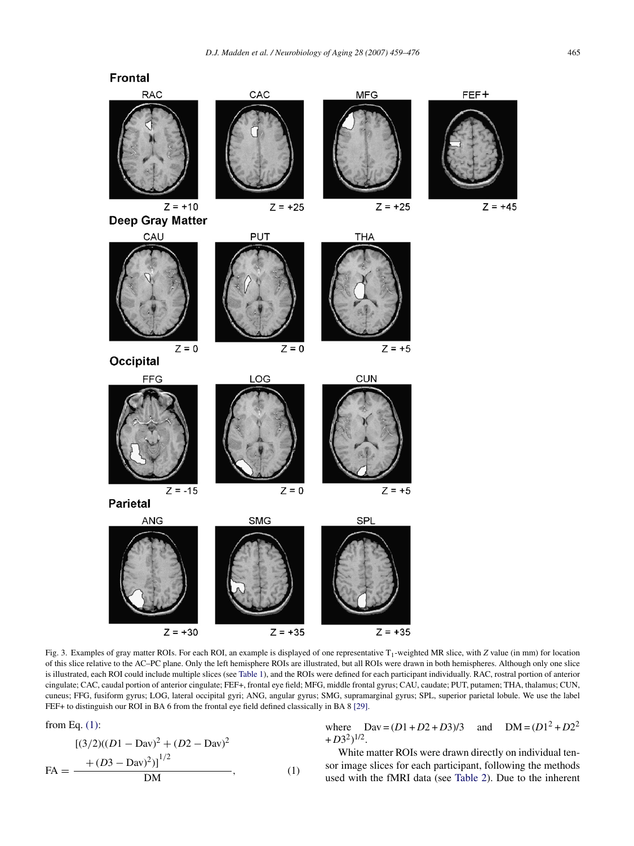# **Frontal**

<span id="page-6-0"></span>

Fig. 3. Examples of gray matter ROIs. For each ROI, an example is displayed of one representative T1-weighted MR slice, with *Z* value (in mm) for location of this slice relative to the AC–PC plane. Only the left hemisphere ROIs are illustrated, but all ROIs were drawn in both hemispheres. Although only one slice is illustrated, each ROI could include multiple slices (see [Table 1\),](#page-5-0) and the ROIs were defined for each participant individually. RAC, rostral portion of anterior cingulate; CAC, caudal portion of anterior cingulate; FEF+, frontal eye field; MFG, middle frontal gyrus; CAU, caudate; PUT, putamen; THA, thalamus; CUN, cuneus; FFG, fusiform gyrus; LOG, lateral occipital gyri; ANG, angular gyrus; SMG, supramarginal gyrus; SPL, superior parietal lobule. We use the label FEF+ to distinguish our ROI in BA 6 from the frontal eye field defined classically in BA 8 [\[29\].](#page-16-0)

from Eq. (1):  
\n
$$
[(3/2)((D1 - Dav)^2 + (D2 - Dav)^2
$$

$$
FA = \frac{+(D3 - Dav)^{2})^{1/2}}{DM},
$$
 (1)

where  $Dav = (D1 + D2 + D3)/3$  and  $DM = (D1^2 + D2^2)$  $+ D3^2$ <sup>1/2</sup>.

White matter ROIs were drawn directly on individual tensor image slices for each participant, following the methods used with the fMRI data (see [Table 2\).](#page-7-0) Due to the inherent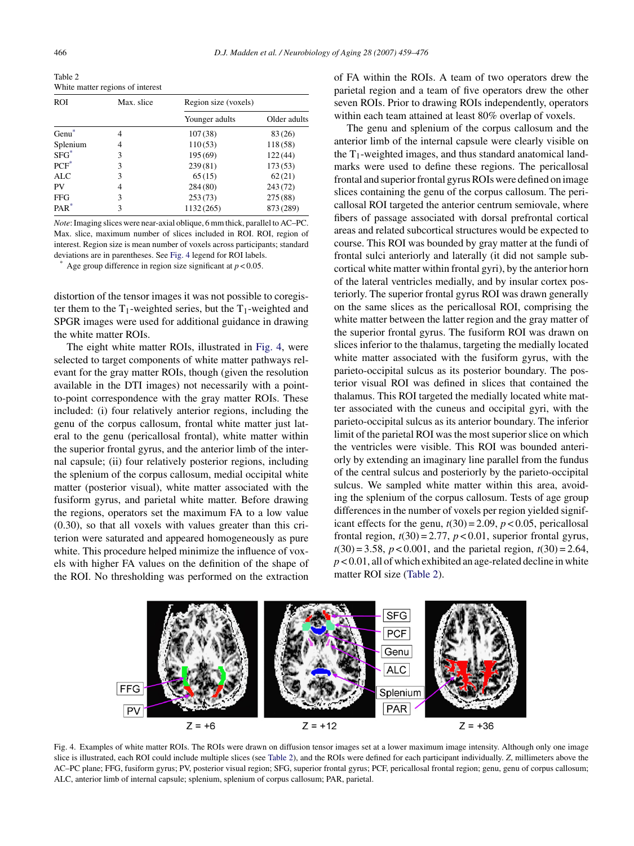<span id="page-7-0"></span>Table 2 White matter regions of interest

| <b>ROI</b>        | Max. slice | Region size (voxels) |              |  |  |
|-------------------|------------|----------------------|--------------|--|--|
|                   |            | Younger adults       | Older adults |  |  |
| Genu <sup>*</sup> | 4          | 107(38)              | 83(26)       |  |  |
| Splenium          | 4          | 110(53)              | 118(58)      |  |  |
| $SFG^*$           | 3          | 195(69)              | 122(44)      |  |  |
| $PCF^*$           | 3          | 239(81)              | 173(53)      |  |  |
| ALC               | 3          | 65(15)               | 62(21)       |  |  |
| PV                | 4          | 284(80)              | 243(72)      |  |  |
| <b>FFG</b>        | 3          | 253(73)              | 275 (88)     |  |  |
| $PAR^*$           | 3          | 1132(265)            | 873 (289)    |  |  |

*Note*: Imaging slices were near-axial oblique, 6 mm thick, parallel to AC–PC. Max. slice, maximum number of slices included in ROI. ROI, region of interest. Region size is mean number of voxels across participants; standard deviations are in parentheses. See Fig. 4 legend for ROI labels.

Age group difference in region size significant at  $p < 0.05$ .

distortion of the tensor images it was not possible to coregister them to the  $T_1$ -weighted series, but the  $T_1$ -weighted and SPGR images were used for additional guidance in drawing the white matter ROIs.

The eight white matter ROIs, illustrated in Fig. 4, were selected to target components of white matter pathways relevant for the gray matter ROIs, though (given the resolution available in the DTI images) not necessarily with a pointto-point correspondence with the gray matter ROIs. These included: (i) four relatively anterior regions, including the genu of the corpus callosum, frontal white matter just lateral to the genu (pericallosal frontal), white matter within the superior frontal gyrus, and the anterior limb of the internal capsule; (ii) four relatively posterior regions, including the splenium of the corpus callosum, medial occipital white matter (posterior visual), white matter associated with the fusiform gyrus, and parietal white matter. Before drawing the regions, operators set the maximum FA to a low value (0.30), so that all voxels with values greater than this criterion were saturated and appeared homogeneously as pure white. This procedure helped minimize the influence of voxels with higher FA values on the definition of the shape of the ROI. No thresholding was performed on the extraction

of FA within the ROIs. A team of two operators drew the parietal region and a team of five operators drew the other seven ROIs. Prior to drawing ROIs independently, operators within each team attained at least 80% overlap of voxels.

The genu and splenium of the corpus callosum and the anterior limb of the internal capsule were clearly visible on the  $T_1$ -weighted images, and thus standard anatomical landmarks were used to define these regions. The pericallosal frontal and superior frontal gyrus ROIs were defined on image slices containing the genu of the corpus callosum. The pericallosal ROI targeted the anterior centrum semiovale, where fibers of passage associated with dorsal prefrontal cortical areas and related subcortical structures would be expected to course. This ROI was bounded by gray matter at the fundi of frontal sulci anteriorly and laterally (it did not sample subcortical white matter within frontal gyri), by the anterior horn of the lateral ventricles medially, and by insular cortex posteriorly. The superior frontal gyrus ROI was drawn generally on the same slices as the pericallosal ROI, comprising the white matter between the latter region and the gray matter of the superior frontal gyrus. The fusiform ROI was drawn on slices inferior to the thalamus, targeting the medially located white matter associated with the fusiform gyrus, with the parieto-occipital sulcus as its posterior boundary. The posterior visual ROI was defined in slices that contained the thalamus. This ROI targeted the medially located white matter associated with the cuneus and occipital gyri, with the parieto-occipital sulcus as its anterior boundary. The inferior limit of the parietal ROI was the most superior slice on which the ventricles were visible. This ROI was bounded anteriorly by extending an imaginary line parallel from the fundus of the central sulcus and posteriorly by the parieto-occipital sulcus. We sampled white matter within this area, avoiding the splenium of the corpus callosum. Tests of age group differences in the number of voxels per region yielded significant effects for the genu,  $t(30) = 2.09$ ,  $p < 0.05$ , pericallosal frontal region,  $t(30) = 2.77$ ,  $p < 0.01$ , superior frontal gyrus,  $t(30) = 3.58$ ,  $p < 0.001$ , and the parietal region,  $t(30) = 2.64$ , *p* < 0.01, all of which exhibited an age-related decline in white matter ROI size (Table 2).



Fig. 4. Examples of white matter ROIs. The ROIs were drawn on diffusion tensor images set at a lower maximum image intensity. Although only one image slice is illustrated, each ROI could include multiple slices (see Table 2), and the ROIs were defined for each participant individually. *Z*, millimeters above the AC–PC plane; FFG, fusiform gyrus; PV, posterior visual region; SFG, superior frontal gyrus; PCF, pericallosal frontal region; genu, genu of corpus callosum; ALC, anterior limb of internal capsule; splenium, splenium of corpus callosum; PAR, parietal.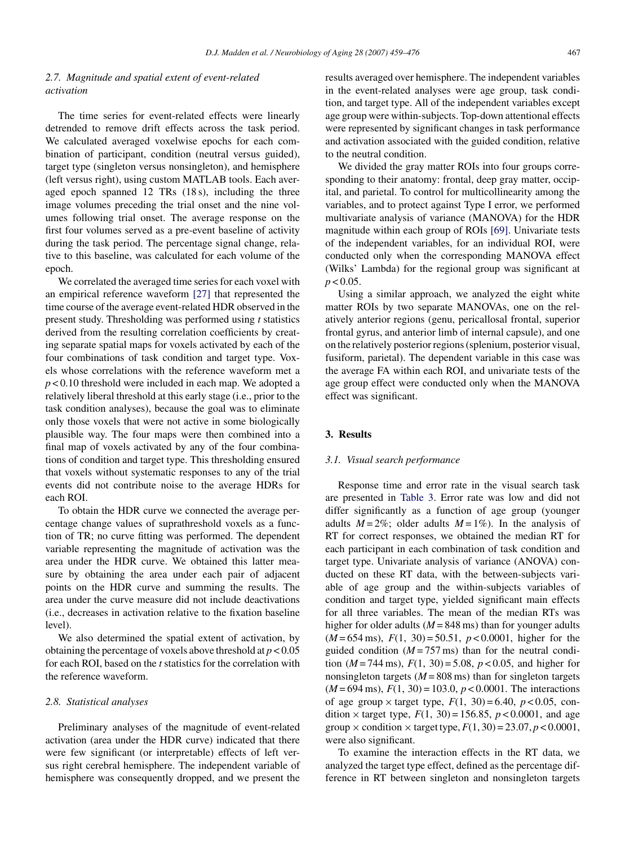## *2.7. Magnitude and spatial extent of event-related activation*

The time series for event-related effects were linearly detrended to remove drift effects across the task period. We calculated averaged voxelwise epochs for each combination of participant, condition (neutral versus guided), target type (singleton versus nonsingleton), and hemisphere (left versus right), using custom MATLAB tools. Each averaged epoch spanned 12 TRs (18 s), including the three image volumes preceding the trial onset and the nine volumes following trial onset. The average response on the first four volumes served as a pre-event baseline of activity during the task period. The percentage signal change, relative to this baseline, was calculated for each volume of the epoch.

We correlated the averaged time series for each voxel with an empirical reference waveform [\[27\]](#page-16-0) that represented the time course of the average event-related HDR observed in the present study. Thresholding was performed using *t* statistics derived from the resulting correlation coefficients by creating separate spatial maps for voxels activated by each of the four combinations of task condition and target type. Voxels whose correlations with the reference waveform met a *p* < 0.10 threshold were included in each map. We adopted a relatively liberal threshold at this early stage (i.e., prior to the task condition analyses), because the goal was to eliminate only those voxels that were not active in some biologically plausible way. The four maps were then combined into a final map of voxels activated by any of the four combinations of condition and target type. This thresholding ensured that voxels without systematic responses to any of the trial events did not contribute noise to the average HDRs for each ROI.

To obtain the HDR curve we connected the average percentage change values of suprathreshold voxels as a function of TR; no curve fitting was performed. The dependent variable representing the magnitude of activation was the area under the HDR curve. We obtained this latter measure by obtaining the area under each pair of adjacent points on the HDR curve and summing the results. The area under the curve measure did not include deactivations (i.e., decreases in activation relative to the fixation baseline level).

We also determined the spatial extent of activation, by obtaining the percentage of voxels above threshold at  $p < 0.05$ for each ROI, based on the *t* statistics for the correlation with the reference waveform.

#### *2.8. Statistical analyses*

Preliminary analyses of the magnitude of event-related activation (area under the HDR curve) indicated that there were few significant (or interpretable) effects of left versus right cerebral hemisphere. The independent variable of hemisphere was consequently dropped, and we present the

results averaged over hemisphere. The independent variables in the event-related analyses were age group, task condition, and target type. All of the independent variables except age group were within-subjects. Top-down attentional effects were represented by significant changes in task performance and activation associated with the guided condition, relative to the neutral condition.

We divided the gray matter ROIs into four groups corresponding to their anatomy: frontal, deep gray matter, occipital, and parietal. To control for multicollinearity among the variables, and to protect against Type I error, we performed multivariate analysis of variance (MANOVA) for the HDR magnitude within each group of ROIs [\[69\].](#page-17-0) Univariate tests of the independent variables, for an individual ROI, were conducted only when the corresponding MANOVA effect (Wilks' Lambda) for the regional group was significant at  $p < 0.05$ .

Using a similar approach, we analyzed the eight white matter ROIs by two separate MANOVAs, one on the relatively anterior regions (genu, pericallosal frontal, superior frontal gyrus, and anterior limb of internal capsule), and one on the relatively posterior regions (splenium, posterior visual, fusiform, parietal). The dependent variable in this case was the average FA within each ROI, and univariate tests of the age group effect were conducted only when the MANOVA effect was significant.

#### **3. Results**

#### *3.1. Visual search performance*

Response time and error rate in the visual search task are presented in [Table 3.](#page-9-0) Error rate was low and did not differ significantly as a function of age group (younger adults  $M = 2\%$ ; older adults  $M = 1\%$ ). In the analysis of RT for correct responses, we obtained the median RT for each participant in each combination of task condition and target type. Univariate analysis of variance (ANOVA) conducted on these RT data, with the between-subjects variable of age group and the within-subjects variables of condition and target type, yielded significant main effects for all three variables. The mean of the median RTs was higher for older adults ( $M = 848$  ms) than for younger adults (*M* = 654 ms), *F*(1, 30) = 50.51, *p* < 0.0001, higher for the guided condition  $(M = 757 \text{ ms})$  than for the neutral condition ( $M = 744$  ms),  $F(1, 30) = 5.08$ ,  $p < 0.05$ , and higher for nonsingleton targets  $(M = 808 \text{ ms})$  than for singleton targets (*M* = 694 ms), *F*(1, 30) = 103.0, *p* < 0.0001. The interactions of age group  $\times$  target type,  $F(1, 30) = 6.40$ ,  $p < 0.05$ , condition  $\times$  target type,  $F(1, 30) = 156.85$ ,  $p < 0.0001$ , and age group  $\times$  condition  $\times$  target type,  $F(1, 30) = 23.07$ ,  $p < 0.0001$ , were also significant.

To examine the interaction effects in the RT data, we analyzed the target type effect, defined as the percentage difference in RT between singleton and nonsingleton targets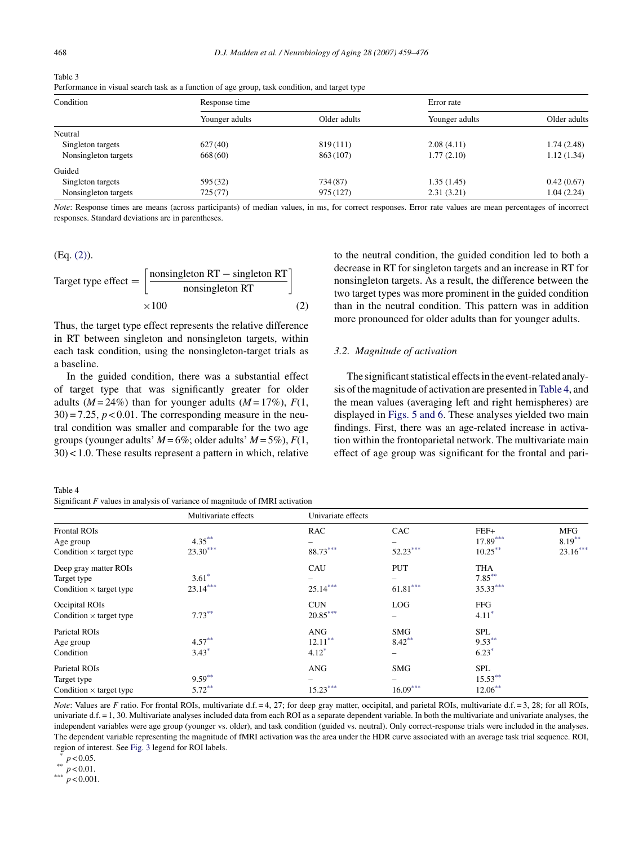<span id="page-9-0"></span>

| Table 3                                                                                       |
|-----------------------------------------------------------------------------------------------|
| Performance in visual search task as a function of age group, task condition, and target type |

| $\overline{\phantom{a}}$ |                |              |                |              |  |
|--------------------------|----------------|--------------|----------------|--------------|--|
| Condition                | Response time  |              | Error rate     |              |  |
|                          | Younger adults | Older adults | Younger adults | Older adults |  |
| Neutral                  |                |              |                |              |  |
| Singleton targets        | 627(40)        | 819(111)     | 2.08(4.11)     | 1.74(2.48)   |  |
| Nonsingleton targets     | 668 (60)       | 863 (107)    | 1.77(2.10)     | 1.12(1.34)   |  |
| Guided                   |                |              |                |              |  |
| Singleton targets        | 595 (32)       | 734(87)      | 1.35(1.45)     | 0.42(0.67)   |  |
| Nonsingleton targets     | 725(77)        | 975 (127)    | 2.31(3.21)     | 1.04(2.24)   |  |

*Note*: Response times are means (across participants) of median values, in ms, for correct responses. Error rate values are mean percentages of incorrect responses. Standard deviations are in parentheses.

(Eq. (2)).

Target type effect = 
$$
\left[\frac{\text{nonsingleton RT} - \text{singleton RT}}{\text{nonsingleton RT}}\right]
$$

$$
\times 100
$$
 (2)

Thus, the target type effect represents the relative difference in RT between singleton and nonsingleton targets, within each task condition, using the nonsingleton-target trials as a baseline.

In the guided condition, there was a substantial effect of target type that was significantly greater for older adults ( $M = 24\%$ ) than for younger adults ( $M = 17\%$ ),  $F(1, \Box)$  $30$ ) = 7.25,  $p < 0.01$ . The corresponding measure in the neutral condition was smaller and comparable for the two age groups (younger adults'  $M = 6\%$ ; older adults'  $M = 5\%$ ),  $F(1,$ 30) < 1.0. These results represent a pattern in which, relative

Table 4 Significant *F* values in analysis of variance of magnitude of fMRI activation to the neutral condition, the guided condition led to both a decrease in RT for singleton targets and an increase in RT for nonsingleton targets. As a result, the difference between the two target types was more prominent in the guided condition than in the neutral condition. This pattern was in addition more pronounced for older adults than for younger adults.

## *3.2. Magnitude of activation*

The significant statistical effects in the event-related analysis of the magnitude of activation are presented in Table 4, and the mean values (averaging left and right hemispheres) are displayed in [Figs. 5 and 6.](#page-10-0) These analyses yielded two main findings. First, there was an age-related increase in activation within the frontoparietal network. The multivariate main effect of age group was significant for the frontal and pari-

|                                                                        | Multivariate effects    | Univariate effects                            |                                                      |                                        |                                       |
|------------------------------------------------------------------------|-------------------------|-----------------------------------------------|------------------------------------------------------|----------------------------------------|---------------------------------------|
| <b>Frontal ROIs</b><br>Age group<br>Condition $\times$ target type     | $4.35***$<br>$23.30***$ | <b>RAC</b><br>88.73***                        | CAC<br>$52.23***$                                    | FEF+<br>$17.89***$<br>$10.25***$       | <b>MFG</b><br>$8.19***$<br>$23.16***$ |
| Deep gray matter ROIs<br>Target type<br>Condition $\times$ target type | $3.61*$<br>$23.14***$   | CAU<br>$\overline{\phantom{0}}$<br>$25.14***$ | <b>PUT</b><br>$\overline{\phantom{0}}$<br>$61.81***$ | <b>THA</b><br>$7.85***$<br>$35.33***$  |                                       |
| Occipital ROIs<br>Condition $\times$ target type                       | $7.73***$               | <b>CUN</b><br>$20.85***$                      | LOG<br>$\overline{\phantom{0}}$                      | FFG<br>$4.11*$                         |                                       |
| Parietal ROIs<br>Age group<br>Condition                                | $4.57***$<br>$3.43*$    | <b>ANG</b><br>$12.11***$<br>$4.12*$           | <b>SMG</b><br>$8.42***$<br>-                         | <b>SPL</b><br>$9.53***$<br>$6.23*$     |                                       |
| Parietal ROIs<br>Target type<br>Condition $\times$ target type         | $9.59***$<br>$5.72***$  | <b>ANG</b><br>$15.23***$                      | <b>SMG</b><br>—<br>$16.09***$                        | <b>SPL</b><br>$15.53***$<br>$12.06***$ |                                       |

*Note*: Values are *F* ratio. For frontal ROIs, multivariate d.f. = 4, 27; for deep gray matter, occipital, and parietal ROIs, multivariate d.f. = 3, 28; for all ROIs, univariate d.f. = 1, 30. Multivariate analyses included data from each ROI as a separate dependent variable. In both the multivariate and univariate analyses, the independent variables were age group (younger vs. older), and task condition (guided vs. neutral). Only correct-response trials were included in the analyses. The dependent variable representing the magnitude of fMRI activation was the area under the HDR curve associated with an average task trial sequence. ROI, region of interest. See [Fig. 3](#page-6-0) legend for ROI labels.

 $p < 0.05$ .

\*\*  $p < 0.01$ .

 $p < 0.001$ .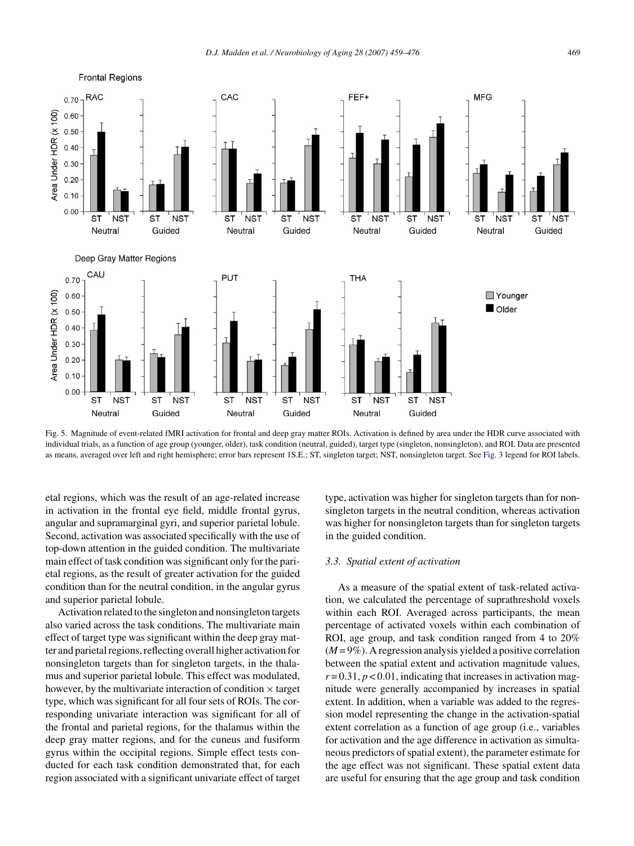<span id="page-10-0"></span>

Fig. 5. Magnitude of event-related fMRI activation for frontal and deep gray matter ROIs. Activation is defined by area under the HDR curve associated with individual trials, as a function of age group (younger, older), task condition (neutral, guided), target type (singleton, nonsingleton), and ROI. Data are presented as means, averaged over left and right hemisphere; error bars represent 1S.E.; ST, singleton target; NST, nonsingleton target. See [Fig. 3](#page-6-0) legend for ROI labels.

etal regions, which was the result of an age-related increase in activation in the frontal eye field, middle frontal gyrus, angular and supramarginal gyri, and superior parietal lobule. Second, activation was associated specifically with the use of top-down attention in the guided condition. The multivariate main effect of task condition was significant only for the parietal regions, as the result of greater activation for the guided condition than for the neutral condition, in the angular gyrus and superior parietal lobule.

Activation related to the singleton and nonsingleton targets also varied across the task conditions. The multivariate main effect of target type was significant within the deep gray matter and parietal regions, reflecting overall higher activation for nonsingleton targets than for singleton targets, in the thalamus and superior parietal lobule. This effect was modulated, however, by the multivariate interaction of condition  $\times$  target type, which was significant for all four sets of ROIs. The corresponding univariate interaction was significant for all of the frontal and parietal regions, for the thalamus within the deep gray matter regions, and for the cuneus and fusiform gyrus within the occipital regions. Simple effect tests conducted for each task condition demonstrated that, for each region associated with a significant univariate effect of target

type, activation was higher for singleton targets than for nonsingleton targets in the neutral condition, whereas activation was higher for nonsingleton targets than for singleton targets in the guided condition.

#### *3.3. Spatial extent of activation*

As a measure of the spatial extent of task-related activation, we calculated the percentage of suprathreshold voxels within each ROI. Averaged across participants, the mean percentage of activated voxels within each combination of ROI, age group, and task condition ranged from 4 to 20% (*M* = 9%). A regression analysis yielded a positive correlation between the spatial extent and activation magnitude values,  $r = 0.31$ ,  $p < 0.01$ , indicating that increases in activation magnitude were generally accompanied by increases in spatial extent. In addition, when a variable was added to the regression model representing the change in the activation-spatial extent correlation as a function of age group (i.e., variables for activation and the age difference in activation as simultaneous predictors of spatial extent), the parameter estimate for the age effect was not significant. These spatial extent data are useful for ensuring that the age group and task condition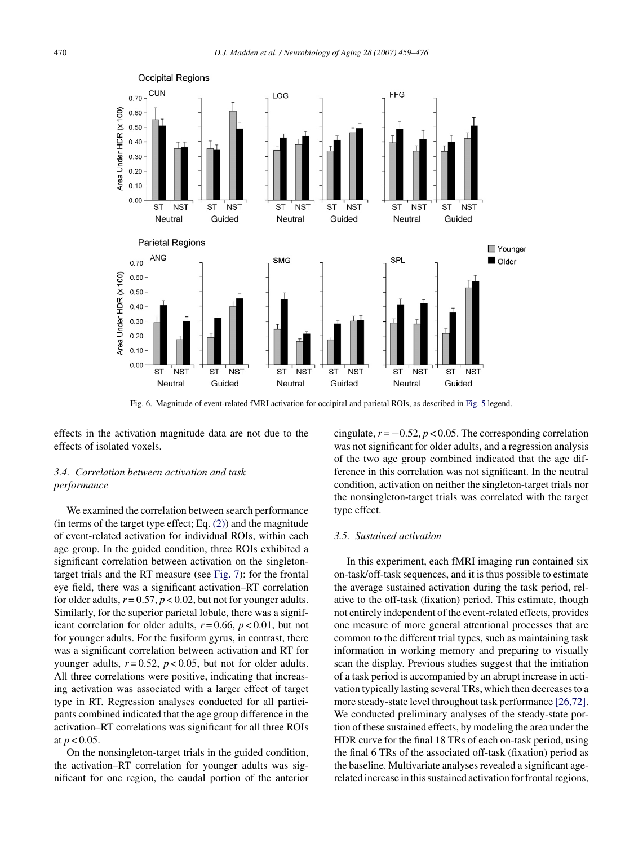

Fig. 6. Magnitude of event-related fMRI activation for occipital and parietal ROIs, as described in [Fig. 5](#page-10-0) legend.

effects in the activation magnitude data are not due to the effects of isolated voxels.

# *3.4. Correlation between activation and task performance*

We examined the correlation between search performance (in terms of the target type effect; Eq.  $(2)$ ) and the magnitude of event-related activation for individual ROIs, within each age group. In the guided condition, three ROIs exhibited a significant correlation between activation on the singletontarget trials and the RT measure (see [Fig. 7\):](#page-12-0) for the frontal eye field, there was a significant activation–RT correlation for older adults,  $r = 0.57$ ,  $p < 0.02$ , but not for younger adults. Similarly, for the superior parietal lobule, there was a significant correlation for older adults,  $r = 0.66$ ,  $p < 0.01$ , but not for younger adults. For the fusiform gyrus, in contrast, there was a significant correlation between activation and RT for younger adults,  $r = 0.52$ ,  $p < 0.05$ , but not for older adults. All three correlations were positive, indicating that increasing activation was associated with a larger effect of target type in RT. Regression analyses conducted for all participants combined indicated that the age group difference in the activation–RT correlations was significant for all three ROIs at  $p < 0.05$ .

On the nonsingleton-target trials in the guided condition, the activation–RT correlation for younger adults was significant for one region, the caudal portion of the anterior cingulate,  $r = -0.52$ ,  $p < 0.05$ . The corresponding correlation was not significant for older adults, and a regression analysis of the two age group combined indicated that the age difference in this correlation was not significant. In the neutral condition, activation on neither the singleton-target trials nor the nonsingleton-target trials was correlated with the target type effect.

## *3.5. Sustained activation*

In this experiment, each fMRI imaging run contained six on-task/off-task sequences, and it is thus possible to estimate the average sustained activation during the task period, relative to the off-task (fixation) period. This estimate, though not entirely independent of the event-related effects, provides one measure of more general attentional processes that are common to the different trial types, such as maintaining task information in working memory and preparing to visually scan the display. Previous studies suggest that the initiation of a task period is accompanied by an abrupt increase in activation typically lasting several TRs, which then decreases to a more steady-state level throughout task performance [\[26,72\].](#page-16-0) We conducted preliminary analyses of the steady-state portion of these sustained effects, by modeling the area under the HDR curve for the final 18 TRs of each on-task period, using the final 6 TRs of the associated off-task (fixation) period as the baseline. Multivariate analyses revealed a significant agerelated increase in this sustained activation for frontal regions,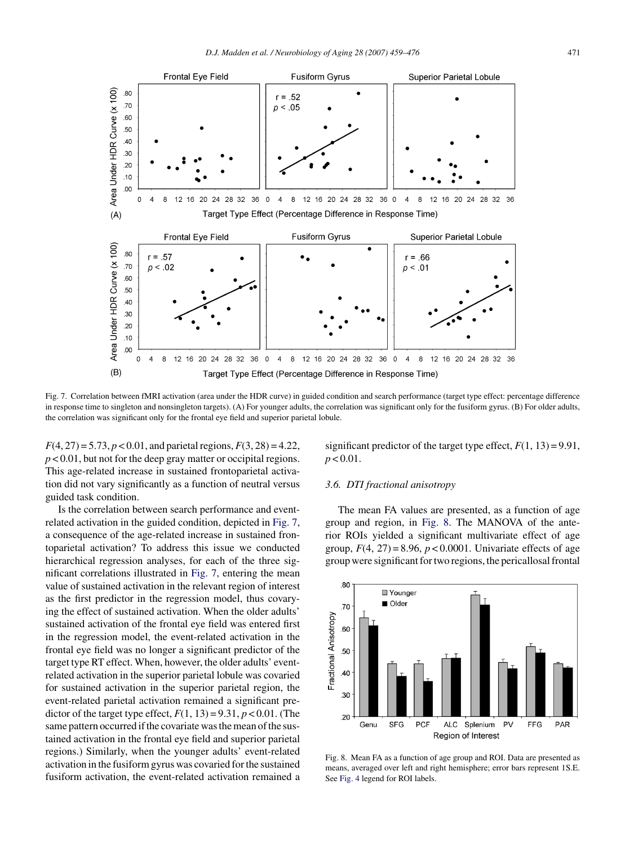<span id="page-12-0"></span>

Fig. 7. Correlation between fMRI activation (area under the HDR curve) in guided condition and search performance (target type effect: percentage difference in response time to singleton and nonsingleton targets). (A) For younger adults, the correlation was significant only for the fusiform gyrus. (B) For older adults, the correlation was significant only for the frontal eye field and superior parietal lobule.

 $F(4, 27) = 5.73, p < 0.01$ , and parietal regions,  $F(3, 28) = 4.22$ , *p* < 0.01, but not for the deep gray matter or occipital regions. This age-related increase in sustained frontoparietal activation did not vary significantly as a function of neutral versus guided task condition.

Is the correlation between search performance and eventrelated activation in the guided condition, depicted in Fig. 7, a consequence of the age-related increase in sustained frontoparietal activation? To address this issue we conducted hierarchical regression analyses, for each of the three significant correlations illustrated in Fig. 7, entering the mean value of sustained activation in the relevant region of interest as the first predictor in the regression model, thus covarying the effect of sustained activation. When the older adults' sustained activation of the frontal eye field was entered first in the regression model, the event-related activation in the frontal eye field was no longer a significant predictor of the target type RT effect. When, however, the older adults' eventrelated activation in the superior parietal lobule was covaried for sustained activation in the superior parietal region, the event-related parietal activation remained a significant predictor of the target type effect,  $F(1, 13) = 9.31$ ,  $p < 0.01$ . (The same pattern occurred if the covariate was the mean of the sustained activation in the frontal eye field and superior parietal regions.) Similarly, when the younger adults' event-related activation in the fusiform gyrus was covaried for the sustained fusiform activation, the event-related activation remained a significant predictor of the target type effect,  $F(1, 13) = 9.91$ ,  $p < 0.01$ .

#### *3.6. DTI fractional anisotropy*

The mean FA values are presented, as a function of age group and region, in Fig. 8. The MANOVA of the anterior ROIs yielded a significant multivariate effect of age group,  $F(4, 27) = 8.96$ ,  $p < 0.0001$ . Univariate effects of age group were significant for two regions, the pericallosal frontal



Fig. 8. Mean FA as a function of age group and ROI. Data are presented as means, averaged over left and right hemisphere; error bars represent 1S.E. See [Fig. 4](#page-7-0) legend for ROI labels.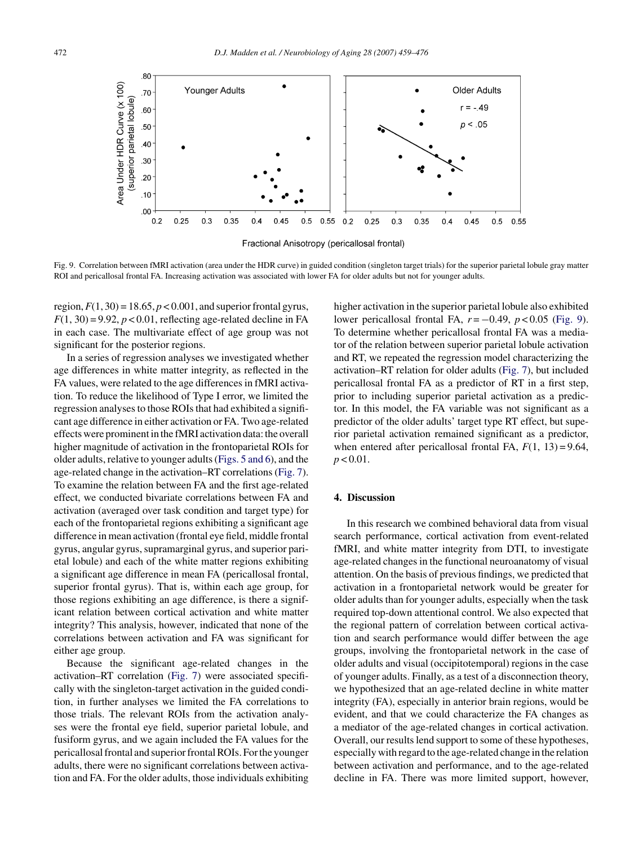<span id="page-13-0"></span>



Fig. 9. Correlation between fMRI activation (area under the HDR curve) in guided condition (singleton target trials) for the superior parietal lobule gray matter ROI and pericallosal frontal FA. Increasing activation was associated with lower FA for older adults but not for younger adults.

region,  $F(1, 30) = 18.65$ ,  $p < 0.001$ , and superior frontal gyrus,  $F(1, 30) = 9.92$ ,  $p < 0.01$ , reflecting age-related decline in FA in each case. The multivariate effect of age group was not significant for the posterior regions.

In a series of regression analyses we investigated whether age differences in white matter integrity, as reflected in the FA values, were related to the age differences in fMRI activation. To reduce the likelihood of Type I error, we limited the regression analyses to those ROIs that had exhibited a significant age difference in either activation or FA. Two age-related effects were prominent in the fMRI activation data: the overall higher magnitude of activation in the frontoparietal ROIs for older adults, relative to younger adults ([Figs. 5 and 6\),](#page-10-0) and the age-related change in the activation–RT correlations [\(Fig. 7\).](#page-12-0) To examine the relation between FA and the first age-related effect, we conducted bivariate correlations between FA and activation (averaged over task condition and target type) for each of the frontoparietal regions exhibiting a significant age difference in mean activation (frontal eye field, middle frontal gyrus, angular gyrus, supramarginal gyrus, and superior parietal lobule) and each of the white matter regions exhibiting a significant age difference in mean FA (pericallosal frontal, superior frontal gyrus). That is, within each age group, for those regions exhibiting an age difference, is there a significant relation between cortical activation and white matter integrity? This analysis, however, indicated that none of the correlations between activation and FA was significant for either age group.

Because the significant age-related changes in the activation–RT correlation ([Fig. 7\)](#page-12-0) were associated specifically with the singleton-target activation in the guided condition, in further analyses we limited the FA correlations to those trials. The relevant ROIs from the activation analyses were the frontal eye field, superior parietal lobule, and fusiform gyrus, and we again included the FA values for the pericallosal frontal and superior frontal ROIs. For the younger adults, there were no significant correlations between activation and FA. For the older adults, those individuals exhibiting

higher activation in the superior parietal lobule also exhibited lower pericallosal frontal FA, *r* = −0.49, *p* < 0.05 (Fig. 9). To determine whether pericallosal frontal FA was a mediator of the relation between superior parietal lobule activation and RT, we repeated the regression model characterizing the activation–RT relation for older adults ([Fig. 7\),](#page-12-0) but included pericallosal frontal FA as a predictor of RT in a first step, prior to including superior parietal activation as a predictor. In this model, the FA variable was not significant as a predictor of the older adults' target type RT effect, but superior parietal activation remained significant as a predictor, when entered after pericallosal frontal FA,  $F(1, 13) = 9.64$ ,  $p < 0.01$ .

#### **4. Discussion**

In this research we combined behavioral data from visual search performance, cortical activation from event-related fMRI, and white matter integrity from DTI, to investigate age-related changes in the functional neuroanatomy of visual attention. On the basis of previous findings, we predicted that activation in a frontoparietal network would be greater for older adults than for younger adults, especially when the task required top-down attentional control. We also expected that the regional pattern of correlation between cortical activation and search performance would differ between the age groups, involving the frontoparietal network in the case of older adults and visual (occipitotemporal) regions in the case of younger adults. Finally, as a test of a disconnection theory, we hypothesized that an age-related decline in white matter integrity (FA), especially in anterior brain regions, would be evident, and that we could characterize the FA changes as a mediator of the age-related changes in cortical activation. Overall, our results lend support to some of these hypotheses, especially with regard to the age-related change in the relation between activation and performance, and to the age-related decline in FA. There was more limited support, however,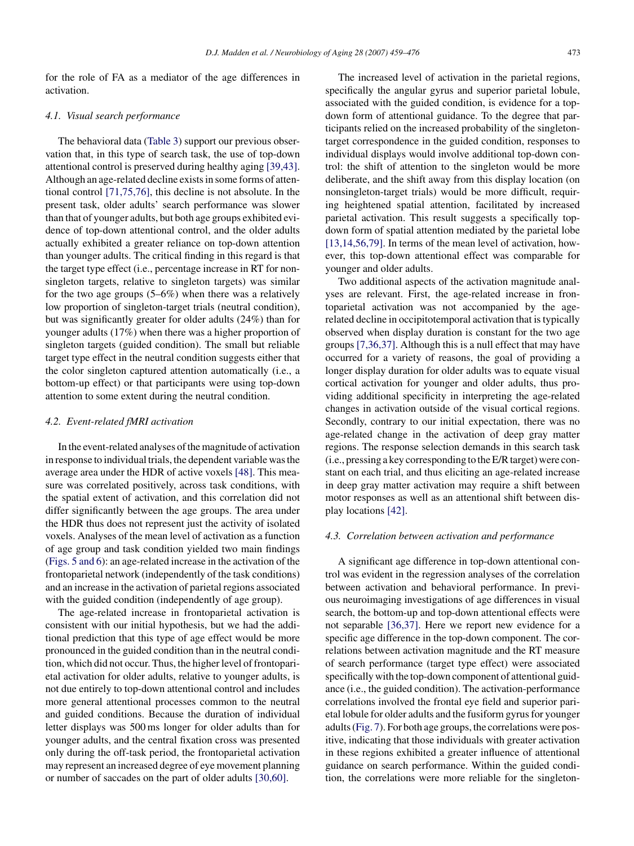for the role of FA as a mediator of the age differences in activation.

#### *4.1. Visual search performance*

The behavioral data ([Table 3\)](#page-9-0) support our previous observation that, in this type of search task, the use of top-down attentional control is preserved during healthy aging [\[39,43\].](#page-17-0) Although an age-related decline exists in some forms of attentional control [\[71,75,76\],](#page-17-0) this decline is not absolute. In the present task, older adults' search performance was slower than that of younger adults, but both age groups exhibited evidence of top-down attentional control, and the older adults actually exhibited a greater reliance on top-down attention than younger adults. The critical finding in this regard is that the target type effect (i.e., percentage increase in RT for nonsingleton targets, relative to singleton targets) was similar for the two age groups (5–6%) when there was a relatively low proportion of singleton-target trials (neutral condition), but was significantly greater for older adults (24%) than for younger adults (17%) when there was a higher proportion of singleton targets (guided condition). The small but reliable target type effect in the neutral condition suggests either that the color singleton captured attention automatically (i.e., a bottom-up effect) or that participants were using top-down attention to some extent during the neutral condition.

#### *4.2. Event-related fMRI activation*

In the event-related analyses of the magnitude of activation in response to individual trials, the dependent variable was the average area under the HDR of active voxels [\[48\]. T](#page-17-0)his measure was correlated positively, across task conditions, with the spatial extent of activation, and this correlation did not differ significantly between the age groups. The area under the HDR thus does not represent just the activity of isolated voxels. Analyses of the mean level of activation as a function of age group and task condition yielded two main findings ([Figs. 5 and 6\):](#page-10-0) an age-related increase in the activation of the frontoparietal network (independently of the task conditions) and an increase in the activation of parietal regions associated with the guided condition (independently of age group).

The age-related increase in frontoparietal activation is consistent with our initial hypothesis, but we had the additional prediction that this type of age effect would be more pronounced in the guided condition than in the neutral condition, which did not occur. Thus, the higher level of frontoparietal activation for older adults, relative to younger adults, is not due entirely to top-down attentional control and includes more general attentional processes common to the neutral and guided conditions. Because the duration of individual letter displays was 500 ms longer for older adults than for younger adults, and the central fixation cross was presented only during the off-task period, the frontoparietal activation may represent an increased degree of eye movement planning or number of saccades on the part of older adults [\[30,60\].](#page-16-0)

The increased level of activation in the parietal regions, specifically the angular gyrus and superior parietal lobule, associated with the guided condition, is evidence for a topdown form of attentional guidance. To the degree that participants relied on the increased probability of the singletontarget correspondence in the guided condition, responses to individual displays would involve additional top-down control: the shift of attention to the singleton would be more deliberate, and the shift away from this display location (on nonsingleton-target trials) would be more difficult, requiring heightened spatial attention, facilitated by increased parietal activation. This result suggests a specifically topdown form of spatial attention mediated by the parietal lobe [\[13,14,56,79\]. I](#page-16-0)n terms of the mean level of activation, however, this top-down attentional effect was comparable for younger and older adults.

Two additional aspects of the activation magnitude analyses are relevant. First, the age-related increase in frontoparietal activation was not accompanied by the agerelated decline in occipitotemporal activation that is typically observed when display duration is constant for the two age groups [\[7,36,37\].](#page-16-0) Although this is a null effect that may have occurred for a variety of reasons, the goal of providing a longer display duration for older adults was to equate visual cortical activation for younger and older adults, thus providing additional specificity in interpreting the age-related changes in activation outside of the visual cortical regions. Secondly, contrary to our initial expectation, there was no age-related change in the activation of deep gray matter regions. The response selection demands in this search task (i.e., pressing a key corresponding to the E/R target) were constant on each trial, and thus eliciting an age-related increase in deep gray matter activation may require a shift between motor responses as well as an attentional shift between display locations [\[42\].](#page-17-0)

## *4.3. Correlation between activation and performance*

A significant age difference in top-down attentional control was evident in the regression analyses of the correlation between activation and behavioral performance. In previous neuroimaging investigations of age differences in visual search, the bottom-up and top-down attentional effects were not separable [\[36,37\].](#page-16-0) Here we report new evidence for a specific age difference in the top-down component. The correlations between activation magnitude and the RT measure of search performance (target type effect) were associated specifically with the top-down component of attentional guidance (i.e., the guided condition). The activation-performance correlations involved the frontal eye field and superior parietal lobule for older adults and the fusiform gyrus for younger adults [\(Fig. 7\).](#page-12-0) For both age groups, the correlations were positive, indicating that those individuals with greater activation in these regions exhibited a greater influence of attentional guidance on search performance. Within the guided condition, the correlations were more reliable for the singleton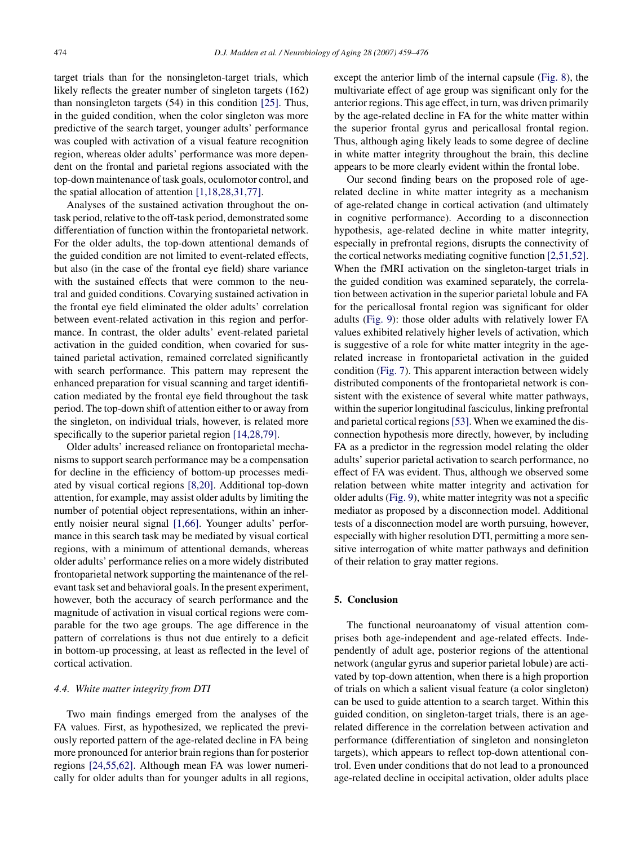target trials than for the nonsingleton-target trials, which likely reflects the greater number of singleton targets (162) than nonsingleton targets (54) in this condition [\[25\].](#page-16-0) Thus, in the guided condition, when the color singleton was more predictive of the search target, younger adults' performance was coupled with activation of a visual feature recognition region, whereas older adults' performance was more dependent on the frontal and parietal regions associated with the top-down maintenance of task goals, oculomotor control, and the spatial allocation of attention [\[1,18,28,31,77\].](#page-16-0)

Analyses of the sustained activation throughout the ontask period, relative to the off-task period, demonstrated some differentiation of function within the frontoparietal network. For the older adults, the top-down attentional demands of the guided condition are not limited to event-related effects, but also (in the case of the frontal eye field) share variance with the sustained effects that were common to the neutral and guided conditions. Covarying sustained activation in the frontal eye field eliminated the older adults' correlation between event-related activation in this region and performance. In contrast, the older adults' event-related parietal activation in the guided condition, when covaried for sustained parietal activation, remained correlated significantly with search performance. This pattern may represent the enhanced preparation for visual scanning and target identification mediated by the frontal eye field throughout the task period. The top-down shift of attention either to or away from the singleton, on individual trials, however, is related more specifically to the superior parietal region [\[14,28,79\].](#page-16-0)

Older adults' increased reliance on frontoparietal mechanisms to support search performance may be a compensation for decline in the efficiency of bottom-up processes mediated by visual cortical regions [\[8,20\].](#page-16-0) Additional top-down attention, for example, may assist older adults by limiting the number of potential object representations, within an inherently noisier neural signal [\[1,66\].](#page-16-0) Younger adults' performance in this search task may be mediated by visual cortical regions, with a minimum of attentional demands, whereas older adults' performance relies on a more widely distributed frontoparietal network supporting the maintenance of the relevant task set and behavioral goals. In the present experiment, however, both the accuracy of search performance and the magnitude of activation in visual cortical regions were comparable for the two age groups. The age difference in the pattern of correlations is thus not due entirely to a deficit in bottom-up processing, at least as reflected in the level of cortical activation.

#### *4.4. White matter integrity from DTI*

Two main findings emerged from the analyses of the FA values. First, as hypothesized, we replicated the previously reported pattern of the age-related decline in FA being more pronounced for anterior brain regions than for posterior regions [\[24,55,62\].](#page-16-0) Although mean FA was lower numerically for older adults than for younger adults in all regions,

except the anterior limb of the internal capsule [\(Fig. 8\),](#page-12-0) the multivariate effect of age group was significant only for the anterior regions. This age effect, in turn, was driven primarily by the age-related decline in FA for the white matter within the superior frontal gyrus and pericallosal frontal region. Thus, although aging likely leads to some degree of decline in white matter integrity throughout the brain, this decline appears to be more clearly evident within the frontal lobe.

Our second finding bears on the proposed role of agerelated decline in white matter integrity as a mechanism of age-related change in cortical activation (and ultimately in cognitive performance). According to a disconnection hypothesis, age-related decline in white matter integrity, especially in prefrontal regions, disrupts the connectivity of the cortical networks mediating cognitive function [\[2,51,52\].](#page-16-0) When the fMRI activation on the singleton-target trials in the guided condition was examined separately, the correlation between activation in the superior parietal lobule and FA for the pericallosal frontal region was significant for older adults [\(Fig. 9\):](#page-13-0) those older adults with relatively lower FA values exhibited relatively higher levels of activation, which is suggestive of a role for white matter integrity in the agerelated increase in frontoparietal activation in the guided condition [\(Fig. 7\).](#page-12-0) This apparent interaction between widely distributed components of the frontoparietal network is consistent with the existence of several white matter pathways, within the superior longitudinal fasciculus, linking prefrontal and parietal cortical regions[\[53\]. W](#page-17-0)hen we examined the disconnection hypothesis more directly, however, by including FA as a predictor in the regression model relating the older adults' superior parietal activation to search performance, no effect of FA was evident. Thus, although we observed some relation between white matter integrity and activation for older adults ([Fig. 9\),](#page-13-0) white matter integrity was not a specific mediator as proposed by a disconnection model. Additional tests of a disconnection model are worth pursuing, however, especially with higher resolution DTI, permitting a more sensitive interrogation of white matter pathways and definition of their relation to gray matter regions.

# **5. Conclusion**

The functional neuroanatomy of visual attention comprises both age-independent and age-related effects. Independently of adult age, posterior regions of the attentional network (angular gyrus and superior parietal lobule) are activated by top-down attention, when there is a high proportion of trials on which a salient visual feature (a color singleton) can be used to guide attention to a search target. Within this guided condition, on singleton-target trials, there is an agerelated difference in the correlation between activation and performance (differentiation of singleton and nonsingleton targets), which appears to reflect top-down attentional control. Even under conditions that do not lead to a pronounced age-related decline in occipital activation, older adults place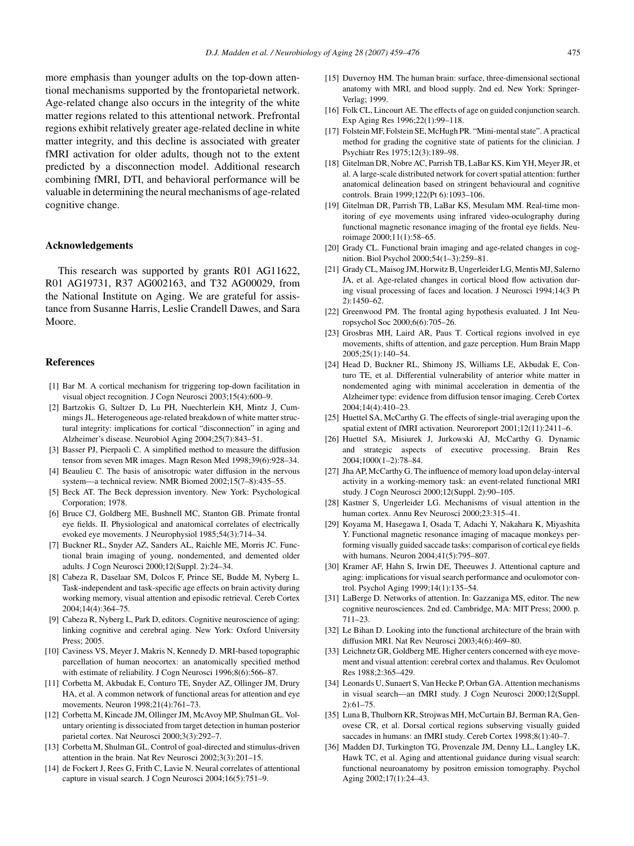<span id="page-16-0"></span>more emphasis than younger adults on the top-down attentional mechanisms supported by the frontoparietal network. Age-related change also occurs in the integrity of the white matter regions related to this attentional network. Prefrontal regions exhibit relatively greater age-related decline in white matter integrity, and this decline is associated with greater fMRI activation for older adults, though not to the extent predicted by a disconnection model. Additional research combining fMRI, DTI, and behavioral performance will be valuable in determining the neural mechanisms of age-related cognitive change.

#### **Acknowledgements**

This research was supported by grants R01 AG11622, R01 AG19731, R37 AG002163, and T32 AG00029, from the National Institute on Aging. We are grateful for assistance from Susanne Harris, Leslie Crandell Dawes, and Sara Moore.

#### **References**

- [1] Bar M. A cortical mechanism for triggering top-down facilitation in visual object recognition. J Cogn Neurosci 2003;15(4):600–9.
- [2] Bartzokis G, Sultzer D, Lu PH, Nuechterlein KH, Mintz J, Cummings JL. Heterogeneous age-related breakdown of white matter structural integrity: implications for cortical "disconnection" in aging and Alzheimer's disease. Neurobiol Aging 2004;25(7):843–51.
- [3] Basser PJ, Pierpaoli C. A simplified method to measure the diffusion tensor from seven MR images. Magn Reson Med 1998;39(6):928–34.
- [4] Beaulieu C. The basis of anisotropic water diffusion in the nervous system—a technical review. NMR Biomed 2002;15(7–8):435–55.
- [5] Beck AT. The Beck depression inventory. New York: Psychological Corporation; 1978.
- [6] Bruce CJ, Goldberg ME, Bushnell MC, Stanton GB. Primate frontal eye fields. II. Physiological and anatomical correlates of electrically evoked eye movements. J Neurophysiol 1985;54(3):714–34.
- [7] Buckner RL, Snyder AZ, Sanders AL, Raichle ME, Morris JC. Functional brain imaging of young, nondemented, and demented older adults. J Cogn Neurosci 2000;12(Suppl. 2):24–34.
- [8] Cabeza R, Daselaar SM, Dolcos F, Prince SE, Budde M, Nyberg L. Task-independent and task-specific age effects on brain activity during working memory, visual attention and episodic retrieval. Cereb Cortex 2004;14(4):364–75.
- [9] Cabeza R, Nyberg L, Park D, editors. Cognitive neuroscience of aging: linking cognitive and cerebral aging. New York: Oxford University Press; 2005.
- [10] Caviness VS, Meyer J, Makris N, Kennedy D. MRI-based topographic parcellation of human neocortex: an anatomically specified method with estimate of reliability. J Cogn Neurosci 1996;8(6):566–87.
- [11] Corbetta M, Akbudak E, Conturo TE, Snyder AZ, Ollinger JM, Drury HA, et al. A common network of functional areas for attention and eye movements. Neuron 1998;21(4):761–73.
- [12] Corbetta M, Kincade JM, Ollinger JM, McAvoy MP, Shulman GL. Voluntary orienting is dissociated from target detection in human posterior parietal cortex. Nat Neurosci 2000;3(3):292–7.
- [13] Corbetta M, Shulman GL. Control of goal-directed and stimulus-driven attention in the brain. Nat Rev Neurosci 2002;3(3):201–15.
- [14] de Fockert J, Rees G, Frith C, Lavie N. Neural correlates of attentional capture in visual search. J Cogn Neurosci 2004;16(5):751–9.
- [15] Duvernoy HM. The human brain: surface, three-dimensional sectional anatomy with MRI, and blood supply. 2nd ed. New York: Springer-Verlag; 1999.
- [16] Folk CL, Lincourt AE. The effects of age on guided conjunction search. Exp Aging Res 1996;22(1):99–118.
- [17] Folstein MF, Folstein SE, McHugh PR. "Mini-mental state". A practical method for grading the cognitive state of patients for the clinician. J Psychiatr Res 1975;12(3):189–98.
- [18] Gitelman DR, Nobre AC, Parrish TB, LaBar KS, Kim YH, Meyer JR, et al. A large-scale distributed network for covert spatial attention: further anatomical delineation based on stringent behavioural and cognitive controls. Brain 1999;122(Pt 6):1093–106.
- [19] Gitelman DR, Parrish TB, LaBar KS, Mesulam MM. Real-time monitoring of eye movements using infrared video-oculography during functional magnetic resonance imaging of the frontal eye fields. Neuroimage 2000;11(1):58–65.
- [20] Grady CL. Functional brain imaging and age-related changes in cognition. Biol Psychol 2000;54(1–3):259–81.
- [21] Grady CL, Maisog JM, Horwitz B, Ungerleider LG, Mentis MJ, Salerno JA, et al. Age-related changes in cortical blood flow activation during visual processing of faces and location. J Neurosci 1994;14(3 Pt 2):1450–62.
- [22] Greenwood PM. The frontal aging hypothesis evaluated. J Int Neuropsychol Soc 2000;6(6):705–26.
- [23] Grosbras MH, Laird AR, Paus T. Cortical regions involved in eye movements, shifts of attention, and gaze perception. Hum Brain Mapp 2005;25(1):140–54.
- [24] Head D, Buckner RL, Shimony JS, Williams LE, Akbudak E, Conturo TE, et al. Differential vulnerability of anterior white matter in nondemented aging with minimal acceleration in dementia of the Alzheimer type: evidence from diffusion tensor imaging. Cereb Cortex 2004;14(4):410–23.
- [25] Huettel SA, McCarthy G. The effects of single-trial averaging upon the spatial extent of fMRI activation. Neuroreport 2001;12(11):2411–6.
- [26] Huettel SA, Misiurek J, Jurkowski AJ, McCarthy G. Dynamic and strategic aspects of executive processing. Brain Res  $2004 \cdot 1000(1-2) \cdot 78 - 84$
- [27] Jha AP, McCarthy G. The influence of memory load upon delay-interval activity in a working-memory task: an event-related functional MRI study. J Cogn Neurosci 2000;12(Suppl. 2):90–105.
- [28] Kastner S, Ungerleider LG. Mechanisms of visual attention in the human cortex. Annu Rev Neurosci 2000;23:315–41.
- [29] Koyama M, Hasegawa I, Osada T, Adachi Y, Nakahara K, Miyashita Y. Functional magnetic resonance imaging of macaque monkeys performing visually guided saccade tasks: comparison of cortical eye fields with humans. Neuron 2004;41(5):795–807.
- [30] Kramer AF, Hahn S, Irwin DE, Theeuwes J. Attentional capture and aging: implications for visual search performance and oculomotor control. Psychol Aging 1999;14(1):135–54.
- [31] LaBerge D. Networks of attention. In: Gazzaniga MS, editor. The new cognitive neurosciences. 2nd ed. Cambridge, MA: MIT Press; 2000. p. 711–23.
- [32] Le Bihan D. Looking into the functional architecture of the brain with diffusion MRI. Nat Rev Neurosci 2003;4(6):469–80.
- [33] Leichnetz GR, Goldberg ME. Higher centers concerned with eye movement and visual attention: cerebral cortex and thalamus. Rev Oculomot Res 1988;2:365–429.
- [34] Leonards U, Sunaert S, Van Hecke P, Orban GA. Attention mechanisms in visual search—an fMRI study. J Cogn Neurosci 2000;12(Suppl. 2):61–75.
- [35] Luna B, Thulborn KR, Strojwas MH, McCurtain BJ, Berman RA, Genovese CR, et al. Dorsal cortical regions subserving visually guided saccades in humans: an fMRI study. Cereb Cortex 1998;8(1):40–7.
- [36] Madden DJ, Turkington TG, Provenzale JM, Denny LL, Langley LK, Hawk TC, et al. Aging and attentional guidance during visual search: functional neuroanatomy by positron emission tomography. Psychol Aging 2002;17(1):24–43.